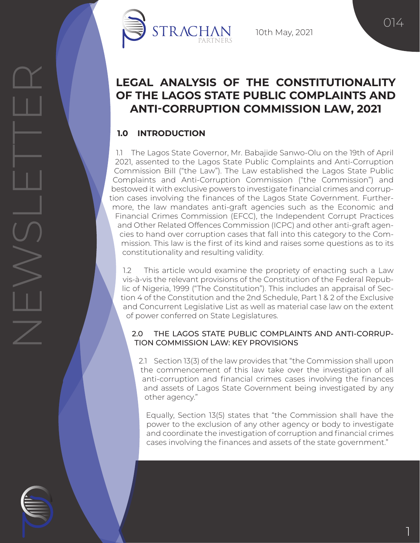

10th May, 2021

014

# **LEGAL ANALYSIS OF THE CONSTITUTIONALITY OF THE LAGOS STATE PUBLIC COMPLAINTS AND ANTI-CORRUPTION COMMISSION LAW, 2021**

# **1.0 INTRODUCTION**

1.1 The Lagos State Governor, Mr. Babajide Sanwo-Olu on the 19th of April 2021, assented to the Lagos State Public Complaints and Anti-Corruption Commission Bill ("the Law"). The Law established the Lagos State Public Complaints and Anti-Corruption Commission ("the Commission") and bestowed it with exclusive powers to investigate financial crimes and corruption cases involving the finances of the Lagos State Government. Furthermore, the law mandates anti-graft agencies such as the Economic and Financial Crimes Commission (EFCC), the Independent Corrupt Practices and Other Related Offences Commission (ICPC) and other anti-graft agencies to hand over corruption cases that fall into this category to the Commission. This law is the first of its kind and raises some questions as to its constitutionality and resulting validity.

1.2 This article would examine the propriety of enacting such a Law vis-à-vis the relevant provisions of the Constitution of the Federal Republic of Nigeria, 1999 ("The Constitution"). This includes an appraisal of Section 4 of the Constitution and the 2nd Schedule, Part 1 & 2 of the Exclusive and Concurrent Legislative List as well as material case law on the extent of power conferred on State Legislatures.

# 2.0 THE LAGOS STATE PUBLIC COMPLAINTS AND ANTI-CORRUP-TION COMMISSION LAW: KEY PROVISIONS

2.1 Section 13(3) of the law provides that "the Commission shall upon the commencement of this law take over the investigation of all anti-corruption and financial crimes cases involving the finances and assets of Lagos State Government being investigated by any other agency."

Equally, Section 13(5) states that "the Commission shall have the power to the exclusion of any other agency or body to investigate and coordinate the investigation of corruption and financial crimes cases involving the finances and assets of the state government."

1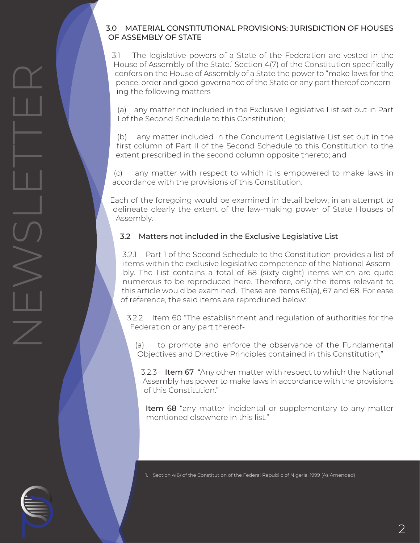### 3.0 MATERIAL CONSTITUTIONAL PROVISIONS: JURISDICTION OF HOUSES OF ASSEMBLY OF STATE

3.1 The legislative powers of a State of the Federation are vested in the House of Assembly of the State.<sup>1</sup> Section 4(7) of the Constitution specifically confers on the House of Assembly of a State the power to "make laws for the peace, order and good governance of the State or any part thereof concerning the following matters-

(a) any matter not included in the Exclusive Legislative List set out in Part I of the Second Schedule to this Constitution;

(b) any matter included in the Concurrent Legislative List set out in the first column of Part II of the Second Schedule to this Constitution to the extent prescribed in the second column opposite thereto; and

(c) any matter with respect to which it is empowered to make laws in accordance with the provisions of this Constitution.

Each of the foregoing would be examined in detail below; in an attempt to delineate clearly the extent of the law-making power of State Houses of Assembly.

# 3.2 Matters not included in the Exclusive Legislative List

NEWSLETTER

 $\leq$ 

 $\leq$ 

3.2.1 Part 1 of the Second Schedule to the Constitution provides a list of items within the exclusive legislative competence of the National Assembly. The List contains a total of 68 (sixty-eight) items which are quite numerous to be reproduced here. Therefore, only the items relevant to this article would be examined. These are Items 60(a), 67 and 68. For ease of reference, the said items are reproduced below:

3.2.2 Item 60 "The establishment and regulation of authorities for the Federation or any part thereof-

(a) to promote and enforce the observance of the Fundamental Objectives and Directive Principles contained in this Constitution;"

3.2.3 Item 67 "Any other matter with respect to which the National Assembly has power to make laws in accordance with the provisions of this Constitution."

Item 68 "any matter incidental or supplementary to any matter mentioned elsewhere in this list."

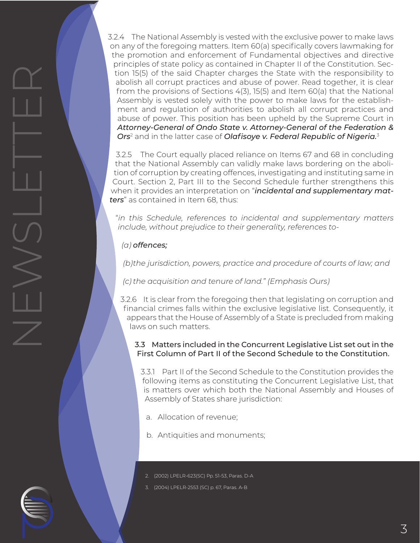3.2.4 The National Assembly is vested with the exclusive power to make laws on any of the foregoing matters. Item 60(a) specifically covers lawmaking for the promotion and enforcement of Fundamental objectives and directive principles of state policy as contained in Chapter II of the Constitution. Section 15(5) of the said Chapter charges the State with the responsibility to abolish all corrupt practices and abuse of power. Read together, it is clear from the provisions of Sections 4(3), 15(5) and Item 60(a) that the National Assembly is vested solely with the power to make laws for the establishment and regulation of authorities to abolish all corrupt practices and abuse of power. This position has been upheld by the Supreme Court in *Attorney-General of Ondo State v. Attorney-General of the Federation & Ors*<sup>2</sup> and in the latter case of *Olafisoye v. Federal Republic of Nigeria.*<sup>3</sup>

3.2.5 The Court equally placed reliance on Items 67 and 68 in concluding that the National Assembly can validly make laws bordering on the abolition of corruption by creating offences, investigating and instituting same in Court. Section 2, Part III to the Second Schedule further strengthens this when it provides an interpretation on "*incidental and supplementary matters*" as contained in Item 68, thus:

"*in this Schedule, references to incidental and supplementary matters include, without prejudice to their generality, references to-*

*(a) offences;*

NEWSLETTER

*(b) the jurisdiction, powers, practice and procedure of courts of law; and*

*(c) the acquisition and tenure of land." (Emphasis Ours)* 

3.2.6 It is clear from the foregoing then that legislating on corruption and financial crimes falls within the exclusive legislative list. Consequently, it appears that the House of Assembly of a State is precluded from making laws on such matters.

#### 3.3 Matters included in the Concurrent Legislative List set out in the First Column of Part II of the Second Schedule to the Constitution.

3.3.1 Part II of the Second Schedule to the Constitution provides the following items as constituting the Concurrent Legislative List, that is matters over which both the National Assembly and Houses of Assembly of States share jurisdiction:

- a. Allocation of revenue;
- b. Antiquities and monuments;
- 2. (2002) LPELR-623(SC) Pp. 51-53, Paras. D-A
- 3. (2004) LPELR-2553 (SC) p. 67, Paras. A-B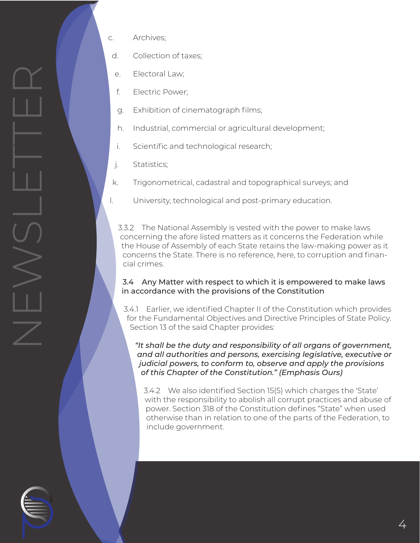- d. Collection of taxes;
- e. Electoral Law;
- f. Electric Power;
- g. Exhibition of cinematograph films;
- h. Industrial, commercial or agricultural development;
- i. Scientific and technological research;
- j. Statistics;

NEWSLETTER

 $\sqrt{\phantom{a}}$ 

 $\begin{array}{c} > \ > \ \ \text{-} \end{array}$ 

- k. Trigonometrical, cadastral and topographical surveys; and
- l. University, technological and post-primary education.

3.3.2 The National Assembly is vested with the power to make laws concerning the afore listed matters as it concerns the Federation while the House of Assembly of each State retains the law-making power as it concerns the State. There is no reference, here, to corruption and financial crimes.

#### 3.4 Any Matter with respect to which it is empowered to make laws in accordance with the provisions of the Constitution

3.4.1 Earlier, we identified Chapter II of the Constitution which provides for the Fundamental Objectives and Directive Principles of State Policy. Section 13 of the said Chapter provides:

*"It shall be the duty and responsibility of all organs of government, and all authorities and persons, exercising legislative, executive or judicial powers, to conform to, observe and apply the provisions of this Chapter of the Constitution." (Emphasis Ours)*

3.4.2 We also identified Section 15(5) which charges the 'State' with the responsibility to abolish all corrupt practices and abuse of power. Section 318 of the Constitution defines "State" when used otherwise than in relation to one of the parts of the Federation, to include government.

4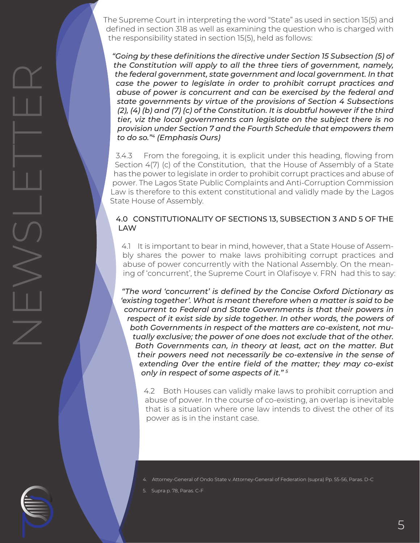The Supreme Court in interpreting the word "State" as used in section 15(5) and defined in section 318 as well as examining the question who is charged with the responsibility stated in section 15(5), held as follows:

*"Going by these definitions the directive under Section 15 Subsection (5) of the Constitution will apply to all the three tiers of government, namely, the federal government, state government and local government. In that case the power to legislate in order to prohibit corrupt practices and abuse of power is concurrent and can be exercised by the federal and state governments by virtue of the provisions of Section 4 Subsections (2), (4) (b) and (7) (c) of the Constitution. It is doubtful however if the third tier, viz the local governments can legislate on the subject there is no provision under Section 7 and the Fourth Schedule that empowers them to do so."4 (Emphasis Ours)*

3.4.3 From the foregoing, it is explicit under this heading, flowing from Section 4(7) (c) of the Constitution, that the House of Assembly of a State has the power to legislate in order to prohibit corrupt practices and abuse of power. The Lagos State Public Complaints and Anti-Corruption Commission Law is therefore to this extent constitutional and validly made by the Lagos State House of Assembly.

#### 4.0 CONSTITUTIONALITY OF SECTIONS 13, SUBSECTION 3 AND 5 OF THE LAW

4.1 It is important to bear in mind, however, that a State House of Assembly shares the power to make laws prohibiting corrupt practices and abuse of power concurrently with the National Assembly. On the meaning of 'concurrent', the Supreme Court in Olafisoye v. FRN had this to say:

*"The word 'concurrent' is defined by the Concise Oxford Dictionary as 'existing together'. What is meant therefore when a matter is said to be concurrent to Federal and State Governments is that their powers in*  respect of it exist side by side together. In other words, the powers of *both Governments in respect of the matters are co-existent, not mutually exclusive; the power of one does not exclude that of the other. Both Governments can, in theory at least, act on the matter. But their powers need not necessarily be co-extensive in the sense of extending 0ver the entire field of the matter; they may co-exist only in respect of some aspects of it." 5*

4.2 Both Houses can validly make laws to prohibit corruption and abuse of power. In the course of co-existing, an overlap is inevitable that is a situation where one law intends to divest the other of its power as is in the instant case.

- 4. Attorney-General of Ondo State v. Attorney-General of Federation (supra) Pp. 55-56, Paras. D-C
- 5. Supra p. 78, Paras. C-F

NEWSLETTER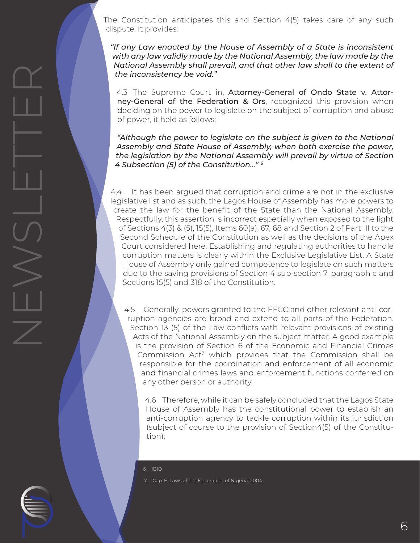The Constitution anticipates this and Section 4(5) takes care of any such dispute. It provides:

*"If any Law enacted by the House of Assembly of a State is inconsistent with any law validly made by the National Assembly, the law made by the National Assembly shall prevail, and that other law shall to the extent of the inconsistency be void."*

4.3 The Supreme Court in, Attorney-General of Ondo State v. Attorney-General of the Federation & Ors, recognized this provision when deciding on the power to legislate on the subject of corruption and abuse of power, it held as follows:

*"Although the power to legislate on the subject is given to the National Assembly and State House of Assembly, when both exercise the power, the legislation by the National Assembly will prevail by virtue of Section 4 Subsection (5) of the Constitution…" 6*

4.4 It has been argued that corruption and crime are not in the exclusive legislative list and as such, the Lagos House of Assembly has more powers to create the law for the benefit of the State than the National Assembly. Respectfully, this assertion is incorrect especially when exposed to the light of Sections 4(3) & (5), 15(5), Items 60(a), 67, 68 and Section 2 of Part III to the Second Schedule of the Constitution as well as the decisions of the Apex Court considered here. Establishing and regulating authorities to handle corruption matters is clearly within the Exclusive Legislative List. A State House of Assembly only gained competence to legislate on such matters due to the saving provisions of Section 4 sub-section 7, paragraph c and Sections 15(5) and 318 of the Constitution.

4.5 Generally, powers granted to the EFCC and other relevant anti-corruption agencies are broad and extend to all parts of the Federation. Section 13 (5) of the Law conflicts with relevant provisions of existing Acts of the National Assembly on the subject matter. A good example is the provision of Section 6 of the Economic and Financial Crimes Commission Act<sup>7</sup> which provides that the Commission shall be responsible for the coordination and enforcement of all economic and financial crimes laws and enforcement functions conferred on any other person or authority.

4.6 Therefore, while it can be safely concluded that the Lagos State House of Assembly has the constitutional power to establish an anti-corruption agency to tackle corruption within its jurisdiction (subject of course to the provision of Section4(5) of the Constitution);

6. IBID

NEWSLETTER

7. Cap. E, Laws of the Federation of Nigeria, 2004.